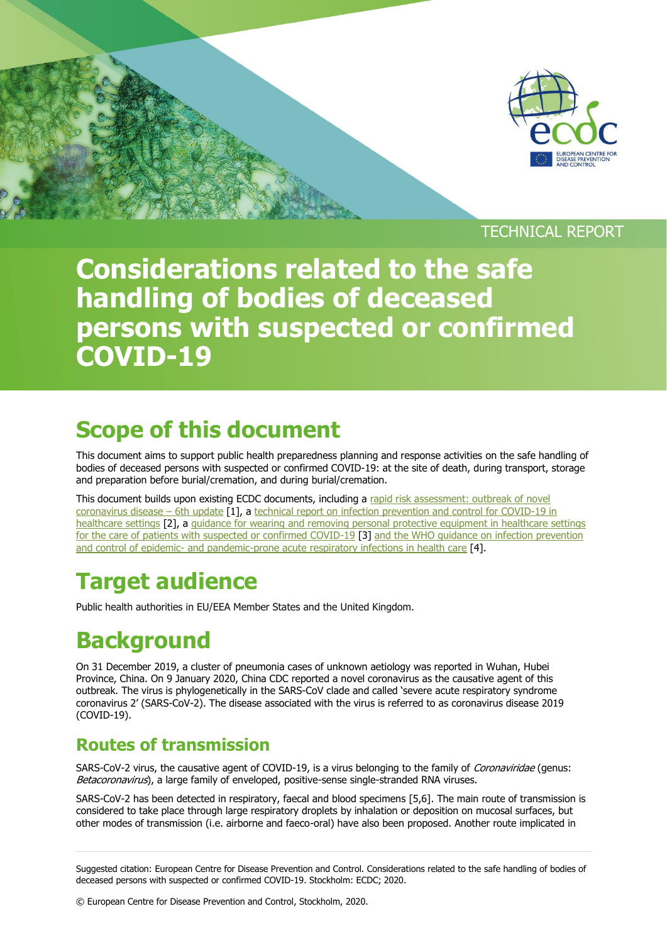

## TECHNICAL REPORT

# **Considerations related to the safe handling of bodies of deceased persons with suspected or confirmed COVID-19**

# **Scope of this document**

This document aims to support public health preparedness planning and response activities on the safe handling of bodies of deceased persons with suspected or confirmed COVID-19: at the site of death, during transport, storage and preparation before burial/cremation, and during burial/cremation.

This document builds upon existing ECDC documents, including a rapid risk assessment: outbreak of novel [coronavirus disease](https://www.ecdc.europa.eu/sites/default/files/documents/RRA-sixth-update-Outbreak-of-novel-coronavirus-disease-2019-COVID-19.pdf) – 6th update [1], a technical report on infection prevention and control for COVID-19 in [healthcare settings](https://www.ecdc.europa.eu/sites/default/files/documents/COVID-19-infection-prevention-and-control-healthcare-settings-march-2020.pdf) [2], a guidance for wearing and removing personal protective equipment in healthcare settings [for the care of patients with suspected or confirmed COVID-19](https://www.ecdc.europa.eu/sites/default/files/documents/COVID-19-guidance-wearing-and-removing-personal-protective-equipment-healthcare-settings-updated.pdf) [3] [and the WHO guidance on infection prevention](https://apps.who.int/iris/bitstream/handle/10665/112656/978924157134_eng.pdf?sequence=1)  and control of epidemic- [and pandemic-prone acute respiratory infections in health care](https://apps.who.int/iris/bitstream/handle/10665/112656/978924157134_eng.pdf?sequence=1) [4].

# **Target audience**

Public health authorities in EU/EEA Member States and the United Kingdom.

# **Background**

On 31 December 2019, a cluster of pneumonia cases of unknown aetiology was reported in Wuhan, Hubei Province, China. On 9 January 2020, China CDC reported a novel coronavirus as the causative agent of this outbreak. The virus is phylogenetically in the SARS-CoV clade and called 'severe acute respiratory syndrome coronavirus 2' (SARS-CoV-2). The disease associated with the virus is referred to as coronavirus disease 2019 (COVID-19).

## **Routes of transmission**

SARS-CoV-2 virus, the causative agent of COVID-19, is a virus belonging to the family of Coronaviridae (genus: Betacoronavirus), a large family of enveloped, positive-sense single-stranded RNA viruses.

SARS-CoV-2 has been detected in respiratory, faecal and blood specimens [5,6]. The main route of transmission is considered to take place through large respiratory droplets by inhalation or deposition on mucosal surfaces, but other modes of transmission (i.e. airborne and faeco-oral) have also been proposed. Another route implicated in

Suggested citation: European Centre for Disease Prevention and Control. Considerations related to the safe handling of bodies of deceased persons with suspected or confirmed COVID-19. Stockholm: ECDC; 2020.

© European Centre for Disease Prevention and Control, Stockholm, 2020.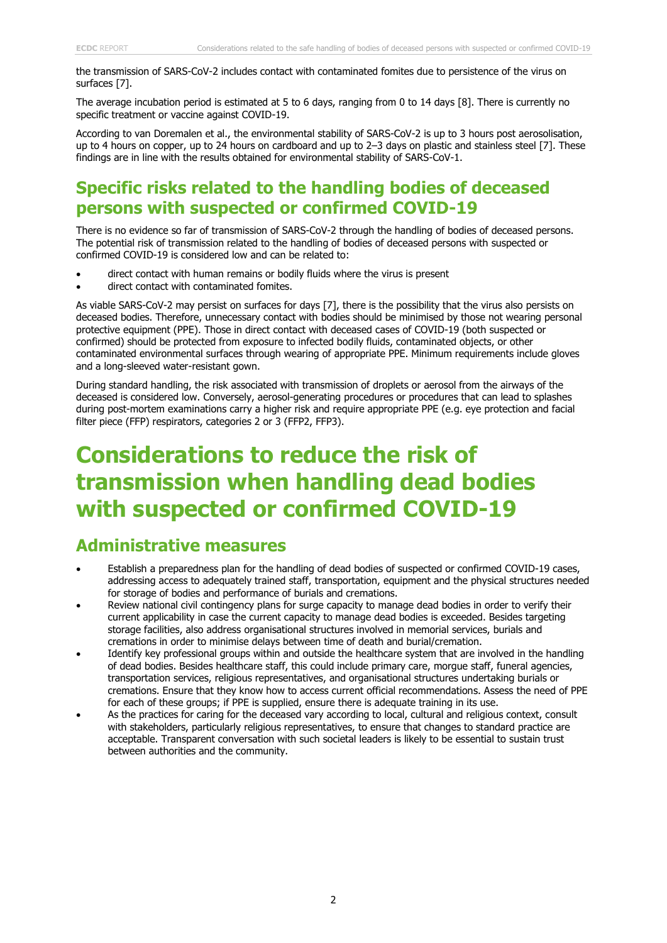the transmission of SARS-CoV-2 includes contact with contaminated fomites due to persistence of the virus on surfaces [7].

The average incubation period is estimated at 5 to 6 days, ranging from 0 to 14 days [8]. There is currently no specific treatment or vaccine against COVID-19.

According to van Doremalen et al., the environmental stability of SARS-CoV-2 is up to 3 hours post aerosolisation, up to 4 hours on copper, up to 24 hours on cardboard and up to 2–3 days on plastic and stainless steel [7]. These findings are in line with the results obtained for environmental stability of SARS-CoV-1.

### **Specific risks related to the handling bodies of deceased persons with suspected or confirmed COVID-19**

There is no evidence so far of transmission of SARS-CoV-2 through the handling of bodies of deceased persons. The potential risk of transmission related to the handling of bodies of deceased persons with suspected or confirmed COVID-19 is considered low and can be related to:

- direct contact with human remains or bodily fluids where the virus is present
- direct contact with contaminated fomites.

As viable SARS-CoV-2 may persist on surfaces for days [7], there is the possibility that the virus also persists on deceased bodies. Therefore, unnecessary contact with bodies should be minimised by those not wearing personal protective equipment (PPE). Those in direct contact with deceased cases of COVID-19 (both suspected or confirmed) should be protected from exposure to infected bodily fluids, contaminated objects, or other contaminated environmental surfaces through wearing of appropriate PPE. Minimum requirements include gloves and a long-sleeved water-resistant gown.

During standard handling, the risk associated with transmission of droplets or aerosol from the airways of the deceased is considered low. Conversely, aerosol-generating procedures or procedures that can lead to splashes during post-mortem examinations carry a higher risk and require appropriate PPE (e.g. eye protection and facial filter piece (FFP) respirators, categories 2 or 3 (FFP2, FFP3).

## **Considerations to reduce the risk of transmission when handling dead bodies with suspected or confirmed COVID-19**

### **Administrative measures**

- Establish a preparedness plan for the handling of dead bodies of suspected or confirmed COVID-19 cases, addressing access to adequately trained staff, transportation, equipment and the physical structures needed for storage of bodies and performance of burials and cremations.
- Review national civil contingency plans for surge capacity to manage dead bodies in order to verify their current applicability in case the current capacity to manage dead bodies is exceeded. Besides targeting storage facilities, also address organisational structures involved in memorial services, burials and cremations in order to minimise delays between time of death and burial/cremation.
- Identify key professional groups within and outside the healthcare system that are involved in the handling of dead bodies. Besides healthcare staff, this could include primary care, morgue staff, funeral agencies, transportation services, religious representatives, and organisational structures undertaking burials or cremations. Ensure that they know how to access current official recommendations. Assess the need of PPE for each of these groups; if PPE is supplied, ensure there is adequate training in its use.
- As the practices for caring for the deceased vary according to local, cultural and religious context, consult with stakeholders, particularly religious representatives, to ensure that changes to standard practice are acceptable. Transparent conversation with such societal leaders is likely to be essential to sustain trust between authorities and the community.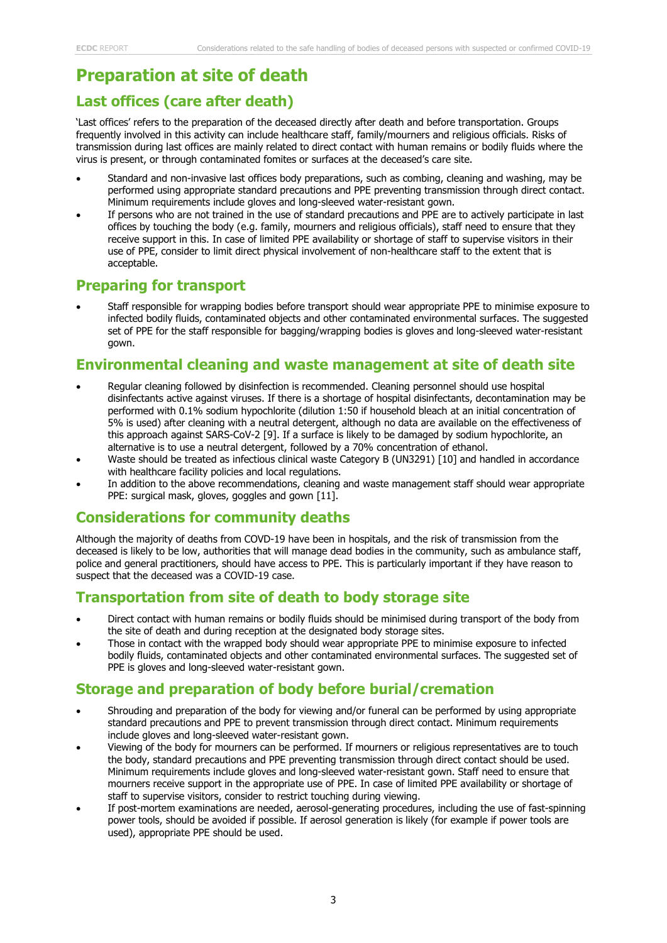### **Preparation at site of death**

### **Last offices (care after death)**

'Last offices' refers to the preparation of the deceased directly after death and before transportation. Groups frequently involved in this activity can include healthcare staff, family/mourners and religious officials. Risks of transmission during last offices are mainly related to direct contact with human remains or bodily fluids where the virus is present, or through contaminated fomites or surfaces at the deceased's care site.

- Standard and non-invasive last offices body preparations, such as combing, cleaning and washing, may be performed using appropriate standard precautions and PPE preventing transmission through direct contact. Minimum requirements include gloves and long-sleeved water-resistant gown.
- If persons who are not trained in the use of standard precautions and PPE are to actively participate in last offices by touching the body (e.g. family, mourners and religious officials), staff need to ensure that they receive support in this. In case of limited PPE availability or shortage of staff to supervise visitors in their use of PPE, consider to limit direct physical involvement of non-healthcare staff to the extent that is acceptable.

### **Preparing for transport**

 Staff responsible for wrapping bodies before transport should wear appropriate PPE to minimise exposure to infected bodily fluids, contaminated objects and other contaminated environmental surfaces. The suggested set of PPE for the staff responsible for bagging/wrapping bodies is gloves and long-sleeved water-resistant gown.

#### **Environmental cleaning and waste management at site of death site**

- Regular cleaning followed by disinfection is recommended. Cleaning personnel should use hospital disinfectants active against viruses. If there is a shortage of hospital disinfectants, decontamination may be performed with 0.1% sodium hypochlorite (dilution 1:50 if household bleach at an initial concentration of 5% is used) after cleaning with a neutral detergent, although no data are available on the effectiveness of this approach against SARS-CoV-2 [9]. If a surface is likely to be damaged by sodium hypochlorite, an alternative is to use a neutral detergent, followed by a 70% concentration of ethanol.
- Waste should be treated as infectious clinical waste Category B (UN3291) [10] and handled in accordance with healthcare facility policies and local regulations.
- In addition to the above recommendations, cleaning and waste management staff should wear appropriate PPE: surgical mask, gloves, goggles and gown [11].

### **Considerations for community deaths**

Although the majority of deaths from COVD-19 have been in hospitals, and the risk of transmission from the deceased is likely to be low, authorities that will manage dead bodies in the community, such as ambulance staff, police and general practitioners, should have access to PPE. This is particularly important if they have reason to suspect that the deceased was a COVID-19 case.

### **Transportation from site of death to body storage site**

- Direct contact with human remains or bodily fluids should be minimised during transport of the body from the site of death and during reception at the designated body storage sites.
- Those in contact with the wrapped body should wear appropriate PPE to minimise exposure to infected bodily fluids, contaminated objects and other contaminated environmental surfaces. The suggested set of PPE is gloves and long-sleeved water-resistant gown.

### **Storage and preparation of body before burial/cremation**

- Shrouding and preparation of the body for viewing and/or funeral can be performed by using appropriate standard precautions and PPE to prevent transmission through direct contact. Minimum requirements include gloves and long-sleeved water-resistant gown.
- Viewing of the body for mourners can be performed. If mourners or religious representatives are to touch the body, standard precautions and PPE preventing transmission through direct contact should be used. Minimum requirements include gloves and long-sleeved water-resistant gown. Staff need to ensure that mourners receive support in the appropriate use of PPE. In case of limited PPE availability or shortage of staff to supervise visitors, consider to restrict touching during viewing.
- If post-mortem examinations are needed, aerosol-generating procedures, including the use of fast-spinning power tools, should be avoided if possible. If aerosol generation is likely (for example if power tools are used), appropriate PPE should be used.